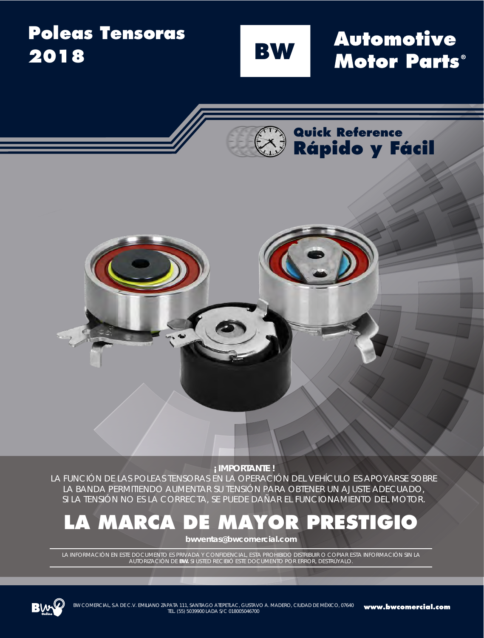#### **Poleas Tensoras Automotive BW 2018Motor Parts**®

**Quick Reference**

**Rápido y Fácil**



LA FUNCIÓN DE LAS POLEAS TENSORAS EN LA OPERACIÓN DEL VEHÍCULO ES APOYARSE SOBRE LA BANDA PERMITIENDO AUMENTAR SU TENSIÓN PARA OBTENER UN AJUSTE ADECUADO, SI LA TENSIÓN NO ES LA CORRECTA, SE PUEDE DAÑAR EL FUNCIONAMIENTO DEL MOTOR.

# **LA MARCA DE MAYOR PRESTIGIO**

**bwventas@bwcomercial.com**

LA INFORMACIÓN EN ESTE DOCUMENTO ES PRIVADA Y CONFIDENCIAL, ESTA PROHIBIDO DISTRIBUIR O COPIAR ESTA INFORMACIÓN SIN LA AUTORIZACIÓN DE **BW.** SI USTED RECIBIÓ ESTE DOCUMENTO POR ERROR, DESTRÚYALO.

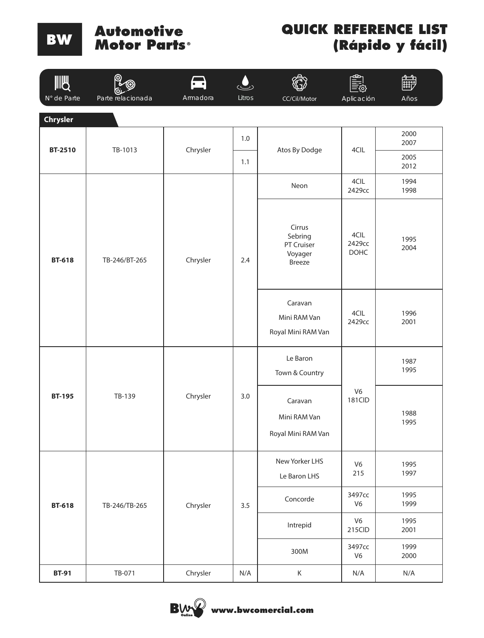#### **Automotive** Motor Parts<sup>®</sup>

| <b>IIIU</b>                    |                   | $\bullet$<br>Armadora |        |                                                                                                 |                          | بتنت         |
|--------------------------------|-------------------|-----------------------|--------|-------------------------------------------------------------------------------------------------|--------------------------|--------------|
| N° de Parte<br><b>Chrysler</b> | Parte relacionada |                       | Litros | CC/Cil/Motor                                                                                    | Aplicación               | Años         |
| <b>BT-2510</b>                 | TB-1013           | Chrysler              | $1.0$  |                                                                                                 |                          | 2000<br>2007 |
|                                |                   |                       | $1.1$  | Atos By Dodge                                                                                   | 4CIL                     | 2005<br>2012 |
|                                |                   |                       |        | Neon                                                                                            | 4CIL<br>2429сс           | 1994<br>1998 |
| <b>BT-618</b>                  | TB-246/BT-265     | Chrysler              | 2.4    | Cirrus<br>Sebring<br>PT Cruiser<br>Voyager<br>Breeze                                            | 4CIL<br>2429сс<br>DOHC   | 1995<br>2004 |
|                                |                   |                       |        | Caravan<br>Mini RAM Van<br>Royal Mini RAM Van                                                   | 4CIL<br>2429cc           | 1996<br>2001 |
| <b>BT-195</b>                  | TB-139            | Chrysler              | 3.0    | Le Baron<br>Town & Country                                                                      | V <sub>6</sub><br>181CID | 1987<br>1995 |
|                                |                   |                       |        | Caravan<br>Mini RAM Van<br>Royal Mini RAM Van                                                   |                          | 1988<br>1995 |
| <b>BT-618</b>                  | TB-246/TB-265     | Chrysler              |        | New Yorker LHS<br>V <sub>6</sub><br>215<br>Le Baron LHS<br>3497сс<br>Concorde<br>V <sub>6</sub> | 1995<br>1997             |              |
|                                |                   |                       | 3.5    |                                                                                                 | 1995<br>1999             |              |
|                                |                   |                       |        | Intrepid                                                                                        | V <sub>6</sub><br>215CID | 1995<br>2001 |
|                                |                   |                       |        | 300M                                                                                            | 3497cc<br>V <sub>6</sub> | 1999<br>2000 |
| <b>BT-91</b>                   | TB-071            | Chrysler              | N/A    | $\sf K$                                                                                         | N/A                      | N/A          |

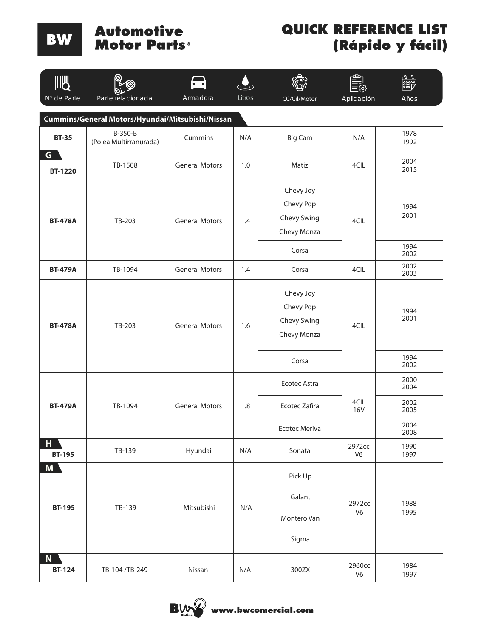#### **Automotive Motor Parts**

| IIII<br>N° de Parte                              | Parte relacionada                 | Armadora              | Litros | CC/Cil/Motor                                                  | Ф<br>Aplicación          | Años                                                 |  |  |
|--------------------------------------------------|-----------------------------------|-----------------------|--------|---------------------------------------------------------------|--------------------------|------------------------------------------------------|--|--|
| Cummins/General Motors/Hyundai/Mitsubishi/Nissan |                                   |                       |        |                                                               |                          |                                                      |  |  |
| <b>BT-35</b>                                     | B-350-B<br>(Polea Multirranurada) | Cummins               | N/A    | <b>Big Cam</b>                                                | N/A                      | 1978<br>1992                                         |  |  |
| G I<br><b>BT-1220</b>                            | TB-1508                           | <b>General Motors</b> | 1.0    | Matiz                                                         | 4CIL                     | 2004<br>2015                                         |  |  |
| <b>BT-478A</b>                                   | TB-203                            | <b>General Motors</b> | 1.4    | Chevy Joy<br>Chevy Pop<br>Chevy Swing<br>Chevy Monza          | 4CIL                     | 1994<br>2001<br>1994                                 |  |  |
| <b>BT-479A</b>                                   | TB-1094                           | <b>General Motors</b> | 1.4    | Corsa<br>Corsa                                                | 4CIL                     | 2002<br>2002<br>2003                                 |  |  |
| <b>BT-478A</b>                                   | TB-203                            | <b>General Motors</b> | 1.6    | Chevy Joy<br>Chevy Pop<br>Chevy Swing<br>Chevy Monza<br>Corsa | 4CIL                     | 1994<br>2001<br>1994                                 |  |  |
| <b>BT-479A</b>                                   | TB-1094                           | <b>General Motors</b> | 1.8    | <b>Ecotec Astra</b><br>Ecotec Zafira<br><b>Ecotec Meriva</b>  | 4CIL<br><b>16V</b>       | 2002<br>2000<br>2004<br>2002<br>2005<br>2004<br>2008 |  |  |
| H.<br><b>BT-195</b>                              | TB-139                            | Hyundai               | N/A    | Sonata                                                        | 2972cc<br>V <sub>6</sub> | 1990<br>1997                                         |  |  |
| M<br><b>BT-195</b>                               | TB-139                            | Mitsubishi            | N/A    | Pick Up<br>Galant<br>Montero Van<br>Sigma                     | 2972cc<br>V <sub>6</sub> | 1988<br>1995                                         |  |  |
| N.<br><b>BT-124</b>                              | TB-104 /TB-249                    | Nissan                | N/A    | 300ZX                                                         | 2960сс<br>V <sub>6</sub> | 1984<br>1997                                         |  |  |

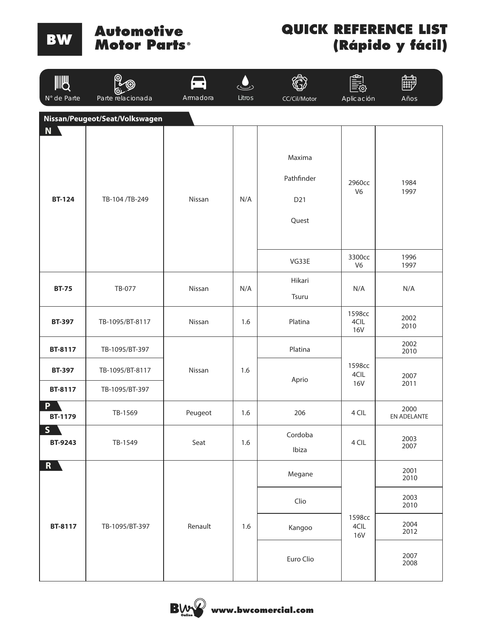#### **Automotive** Motor Parts®

| <b>IIIU</b><br>N° de Parte                                           | Parte relacionada                 | $\bullet$ $\bullet$<br>Armadora | Litros |                                      |                              |                     |  |
|----------------------------------------------------------------------|-----------------------------------|---------------------------------|--------|--------------------------------------|------------------------------|---------------------|--|
| CC/Cil/Motor<br>Aplicación<br>Años<br>Nissan/Peugeot/Seat/Volkswagen |                                   |                                 |        |                                      |                              |                     |  |
| N \<br><b>BT-124</b>                                                 | TB-104/TB-249                     | Nissan                          | N/A    | Maxima<br>Pathfinder<br>D21<br>Quest | 2960cc<br>V <sub>6</sub>     | 1984<br>1997        |  |
|                                                                      |                                   |                                 |        | VG33E                                | 3300cc<br>V <sub>6</sub>     | 1996<br>1997        |  |
| <b>BT-75</b>                                                         | TB-077                            | Nissan                          | N/A    | Hikari<br>Tsuru                      | N/A                          | N/A                 |  |
| <b>BT-397</b>                                                        | TB-1095/BT-8117                   | Nissan                          | 1.6    | Platina                              | 1598cc<br>4CIL<br><b>16V</b> | 2002<br>2010        |  |
| BT-8117                                                              | TB-1095/BT-397                    | Nissan                          | 1.6    | Platina                              | 1598cc<br>4CIL<br><b>16V</b> | 2002<br>2010        |  |
| <b>BT-397</b><br>BT-8117                                             | TB-1095/BT-8117<br>TB-1095/BT-397 |                                 |        | Aprio                                |                              | 2007<br>2011        |  |
| D<br><b>BT-1179</b>                                                  | TB-1569                           | Peugeot                         | 1.6    | 206                                  | 4 CIL                        | 2000<br>EN ADELANTE |  |
| S<br>BT-9243                                                         | TB-1549                           | Seat                            | 1.6    | Cordoba<br>Ibiza                     | 4 CIL                        | 2003<br>2007        |  |
| R                                                                    |                                   |                                 |        | Megane                               |                              | 2001<br>2010        |  |
|                                                                      |                                   |                                 |        | Clio                                 |                              | 2003<br>2010        |  |
| BT-8117                                                              | TB-1095/BT-397                    | Renault                         | 1.6    | Kangoo                               | 1598cc<br>4CIL<br><b>16V</b> | 2004<br>2012        |  |
|                                                                      |                                   |                                 |        | Euro Clio                            |                              | 2007<br>2008        |  |